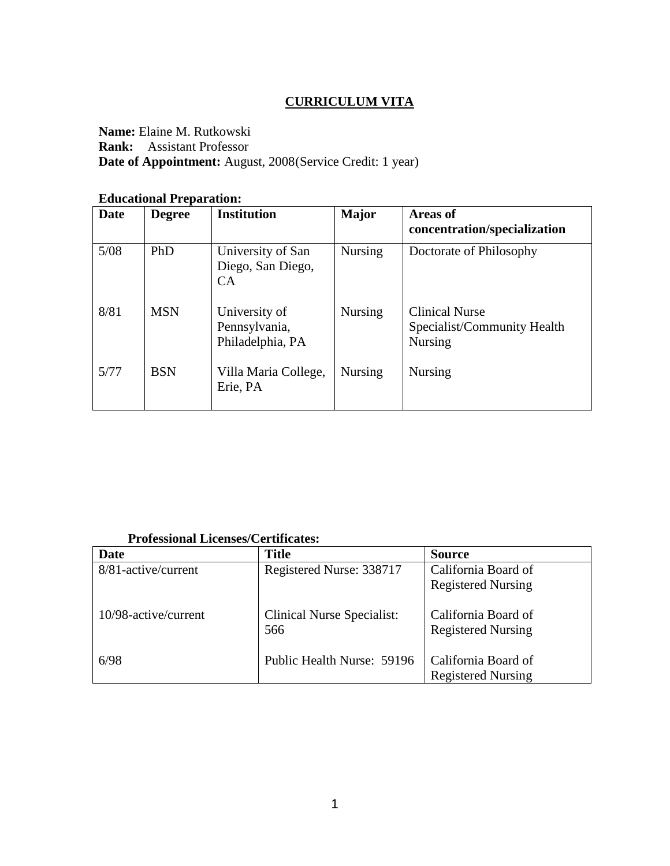## **CURRICULUM VITA**

**Name:** Elaine M. Rutkowski **Rank:** Assistant Professor **Date of Appointment:** August, 2008(Service Credit: 1 year)

#### **Educational Preparation:**

| <b>Date</b> | <b>Degree</b> | <b>Institution</b>                                       | <b>Major</b>   | <b>Areas of</b><br>concentration/specialization                        |
|-------------|---------------|----------------------------------------------------------|----------------|------------------------------------------------------------------------|
| 5/08        | PhD           | University of San<br>Diego, San Diego,<br>CA <sup></sup> | <b>Nursing</b> | Doctorate of Philosophy                                                |
| 8/81        | <b>MSN</b>    | University of<br>Pennsylvania,<br>Philadelphia, PA       | <b>Nursing</b> | <b>Clinical Nurse</b><br>Specialist/Community Health<br><b>Nursing</b> |
| 5/77        | <b>BSN</b>    | Villa Maria College,<br>Erie, PA                         | <b>Nursing</b> | <b>Nursing</b>                                                         |

# **Professional Licenses/Certificates:**

| <b>Date</b>          | <b>Title</b>                             | <b>Source</b>                                    |
|----------------------|------------------------------------------|--------------------------------------------------|
| 8/81-active/current  | Registered Nurse: 338717                 | California Board of                              |
|                      |                                          | <b>Registered Nursing</b>                        |
| 10/98-active/current | <b>Clinical Nurse Specialist:</b><br>566 | California Board of<br><b>Registered Nursing</b> |
| 6/98                 | Public Health Nurse: 59196               | California Board of                              |
|                      |                                          | <b>Registered Nursing</b>                        |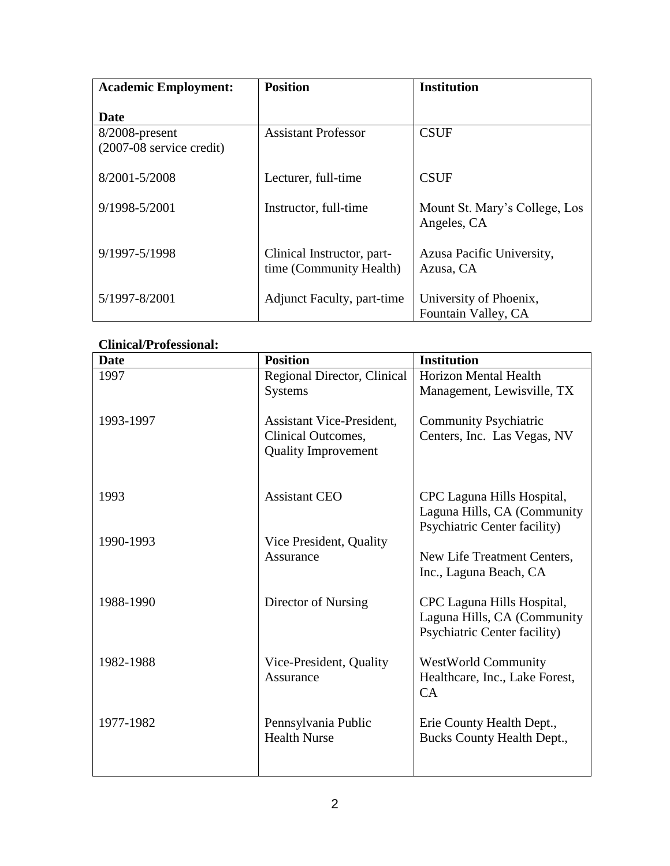| <b>Academic Employment:</b>                  | <b>Position</b>                                       | <b>Institution</b>                            |
|----------------------------------------------|-------------------------------------------------------|-----------------------------------------------|
| Date                                         |                                                       |                                               |
| 8/2008-present<br>$(2007-08$ service credit) | <b>Assistant Professor</b>                            | <b>CSUF</b>                                   |
| 8/2001-5/2008                                | Lecturer, full-time                                   | <b>CSUF</b>                                   |
| 9/1998-5/2001                                | Instructor, full-time                                 | Mount St. Mary's College, Los<br>Angeles, CA  |
| 9/1997-5/1998                                | Clinical Instructor, part-<br>time (Community Health) | Azusa Pacific University,<br>Azusa, CA        |
| 5/1997-8/2001                                | <b>Adjunct Faculty, part-time</b>                     | University of Phoenix,<br>Fountain Valley, CA |

## **Clinical/Professional:**

| <b>Date</b> | <b>Position</b>                                                                      | <b>Institution</b>                                                                               |
|-------------|--------------------------------------------------------------------------------------|--------------------------------------------------------------------------------------------------|
| 1997        | Regional Director, Clinical                                                          | <b>Horizon Mental Health</b>                                                                     |
|             | <b>Systems</b>                                                                       | Management, Lewisville, TX                                                                       |
| 1993-1997   | <b>Assistant Vice-President,</b><br>Clinical Outcomes,<br><b>Quality Improvement</b> | <b>Community Psychiatric</b><br>Centers, Inc. Las Vegas, NV                                      |
| 1993        | <b>Assistant CEO</b>                                                                 | CPC Laguna Hills Hospital,<br>Laguna Hills, CA (Community<br><b>Psychiatric Center facility)</b> |
| 1990-1993   | Vice President, Quality<br>Assurance                                                 | New Life Treatment Centers,<br>Inc., Laguna Beach, CA                                            |
| 1988-1990   | Director of Nursing                                                                  | CPC Laguna Hills Hospital,<br>Laguna Hills, CA (Community<br><b>Psychiatric Center facility)</b> |
| 1982-1988   | Vice-President, Quality<br>Assurance                                                 | <b>WestWorld Community</b><br>Healthcare, Inc., Lake Forest,<br>CA                               |
| 1977-1982   | Pennsylvania Public<br><b>Health Nurse</b>                                           | Erie County Health Dept.,<br>Bucks County Health Dept.,                                          |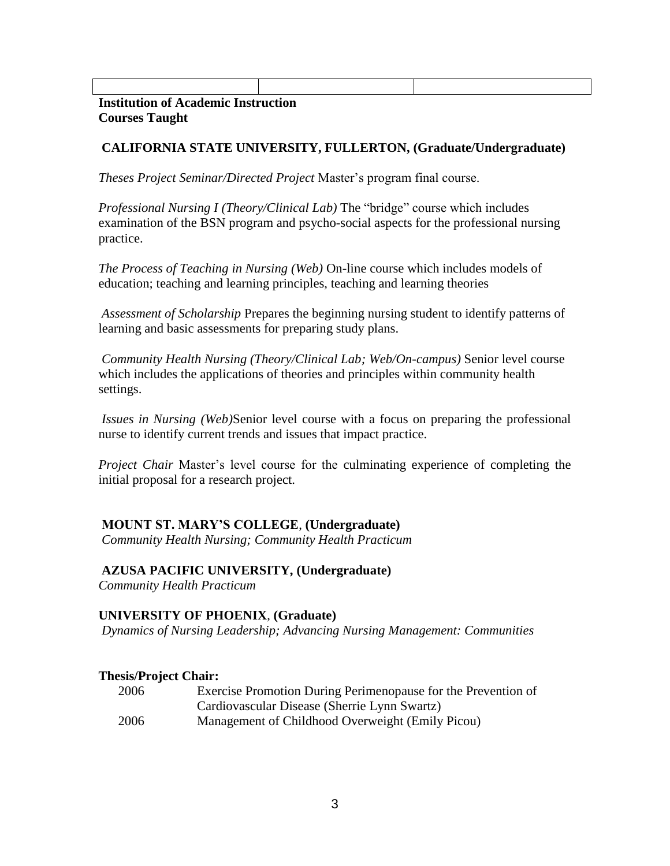| <b>Institution of Academic Instruction</b> |  |  |
|--------------------------------------------|--|--|

### **Courses Taught**

## **CALIFORNIA STATE UNIVERSITY, FULLERTON, (Graduate/Undergraduate)**

*Theses Project Seminar/Directed Project* Master's program final course.

*Professional Nursing I (Theory/Clinical Lab)* The "bridge" course which includes examination of the BSN program and psycho-social aspects for the professional nursing practice.

*The Process of Teaching in Nursing (Web)* On-line course which includes models of education; teaching and learning principles, teaching and learning theories

*Assessment of Scholarship* Prepares the beginning nursing student to identify patterns of learning and basic assessments for preparing study plans.

*Community Health Nursing (Theory/Clinical Lab; Web/On-campus)* Senior level course which includes the applications of theories and principles within community health settings.

*Issues in Nursing (Web)*Senior level course with a focus on preparing the professional nurse to identify current trends and issues that impact practice.

*Project Chair* Master's level course for the culminating experience of completing the initial proposal for a research project.

## **MOUNT ST. MARY'S COLLEGE**, **(Undergraduate)**

*Community Health Nursing; Community Health Practicum*

## **AZUSA PACIFIC UNIVERSITY, (Undergraduate)**

*Community Health Practicum*

## **UNIVERSITY OF PHOENIX**, **(Graduate)**

*Dynamics of Nursing Leadership; Advancing Nursing Management: Communities*

## **Thesis/Project Chair:**

| 2006 | Exercise Promotion During Perimenopause for the Prevention of |
|------|---------------------------------------------------------------|
|      | Cardiovascular Disease (Sherrie Lynn Swartz)                  |
| 2006 | Management of Childhood Overweight (Emily Picou)              |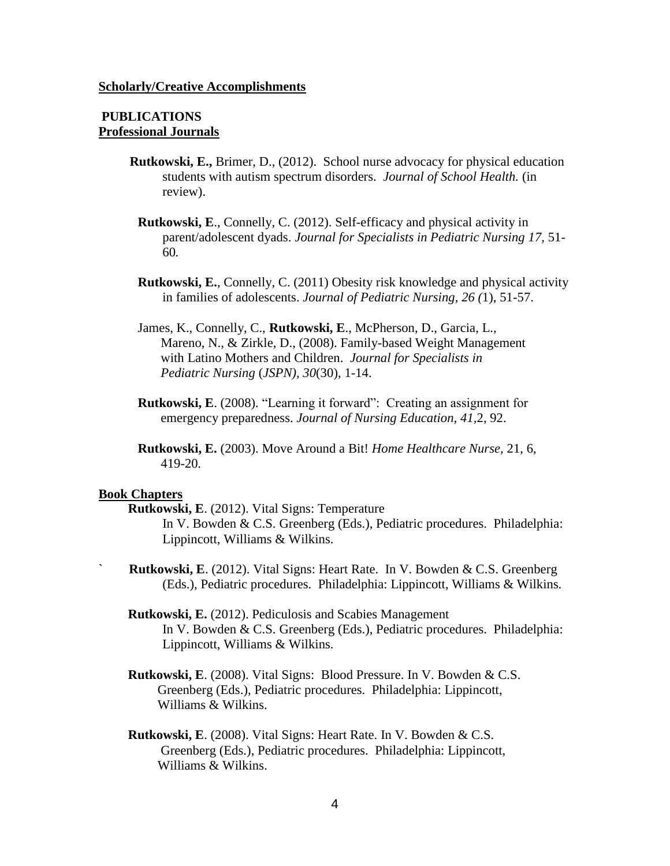#### **Scholarly/Creative Accomplishments**

### **PUBLICATIONS Professional Journals**

- **Rutkowski, E.,** Brimer, D., (2012). School nurse advocacy for physical education students with autism spectrum disorders. *Journal of School Health.* (in review).
	- **Rutkowski, E**., Connelly, C. (2012). Self-efficacy and physical activity in parent/adolescent dyads. *Journal for Specialists in Pediatric Nursing 17,* 51- 60*.*
	- **Rutkowski, E.**, Connelly, C. (2011) Obesity risk knowledge and physical activity in families of adolescents. *Journal of Pediatric Nursing, 26 (*1), 51-57.
	- James, K., Connelly, C., **Rutkowski, E**., McPherson, D., Garcia, L., Mareno, N., & Zirkle, D., (2008). Family-based Weight Management with Latino Mothers and Children. *Journal for Specialists in Pediatric Nursing* (*JSPN), 30*(30), 1-14.
	- **Rutkowski, E**. (2008). "Learning it forward": Creating an assignment for emergency preparedness. *Journal of Nursing Education, 41,*2, 92.
	- **Rutkowski, E.** (2003). Move Around a Bit! *Home Healthcare Nurse,* 21, 6, 419-20*.*

#### **Book Chapters**

- **Rutkowski, E**. (2012). Vital Signs: Temperature In V. Bowden & C.S. Greenberg (Eds.), Pediatric procedures. Philadelphia: Lippincott, Williams & Wilkins.
- **Rutkowski, E**. (2012). Vital Signs: Heart Rate. In V. Bowden & C.S. Greenberg (Eds.), Pediatric procedures. Philadelphia: Lippincott, Williams & Wilkins.
- **Rutkowski, E.** (2012). Pediculosis and Scabies Management In V. Bowden & C.S. Greenberg (Eds.), Pediatric procedures. Philadelphia: Lippincott, Williams & Wilkins.
- **Rutkowski, E**. (2008). Vital Signs: Blood Pressure. In V. Bowden & C.S. Greenberg (Eds.), Pediatric procedures. Philadelphia: Lippincott, Williams & Wilkins.
- **Rutkowski, E**. (2008). Vital Signs: Heart Rate. In V. Bowden & C.S. Greenberg (Eds.), Pediatric procedures. Philadelphia: Lippincott, Williams & Wilkins.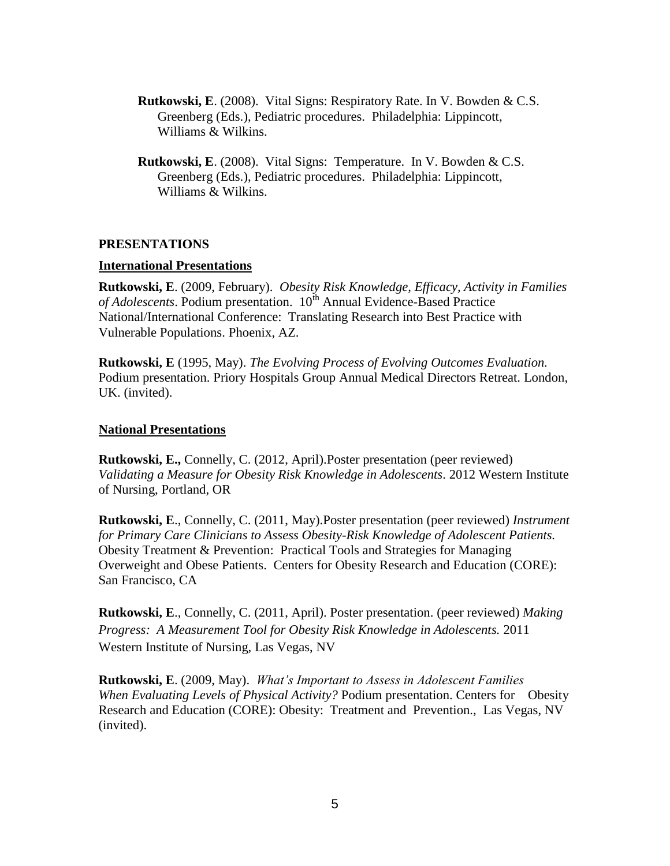- **Rutkowski, E**. (2008). Vital Signs: Respiratory Rate. In V. Bowden & C.S. Greenberg (Eds.), Pediatric procedures. Philadelphia: Lippincott, Williams & Wilkins.
- **Rutkowski, E**. (2008). Vital Signs: Temperature. In V. Bowden & C.S. Greenberg (Eds.), Pediatric procedures. Philadelphia: Lippincott, Williams & Wilkins.

### **PRESENTATIONS**

### **International Presentations**

**Rutkowski, E**. (2009, February). *Obesity Risk Knowledge, Efficacy, Activity in Families*  of Adolescents. Podium presentation. 10<sup>th</sup> Annual Evidence-Based Practice National/International Conference: Translating Research into Best Practice with Vulnerable Populations. Phoenix, AZ.

**Rutkowski, E** (1995, May). *The Evolving Process of Evolving Outcomes Evaluation.* Podium presentation. Priory Hospitals Group Annual Medical Directors Retreat. London, UK. (invited).

### **National Presentations**

**Rutkowski, E.,** Connelly, C. (2012, April).Poster presentation (peer reviewed) *Validating a Measure for Obesity Risk Knowledge in Adolescents*. 2012 Western Institute of Nursing, Portland, OR

**Rutkowski, E**., Connelly, C. (2011, May).Poster presentation (peer reviewed) *Instrument for Primary Care Clinicians to Assess Obesity-Risk Knowledge of Adolescent Patients.*  Obesity Treatment & Prevention: Practical Tools and Strategies for Managing Overweight and Obese Patients. Centers for Obesity Research and Education (CORE): San Francisco, CA

**Rutkowski, E**., Connelly, C. (2011, April). Poster presentation. (peer reviewed) *Making Progress: A Measurement Tool for Obesity Risk Knowledge in Adolescents.* 2011 Western Institute of Nursing, Las Vegas, NV

**Rutkowski, E**. (2009, May). *What's Important to Assess in Adolescent Families When Evaluating Levels of Physical Activity?* Podium presentation. Centers for Obesity Research and Education (CORE): Obesity: Treatment and Prevention., Las Vegas, NV (invited).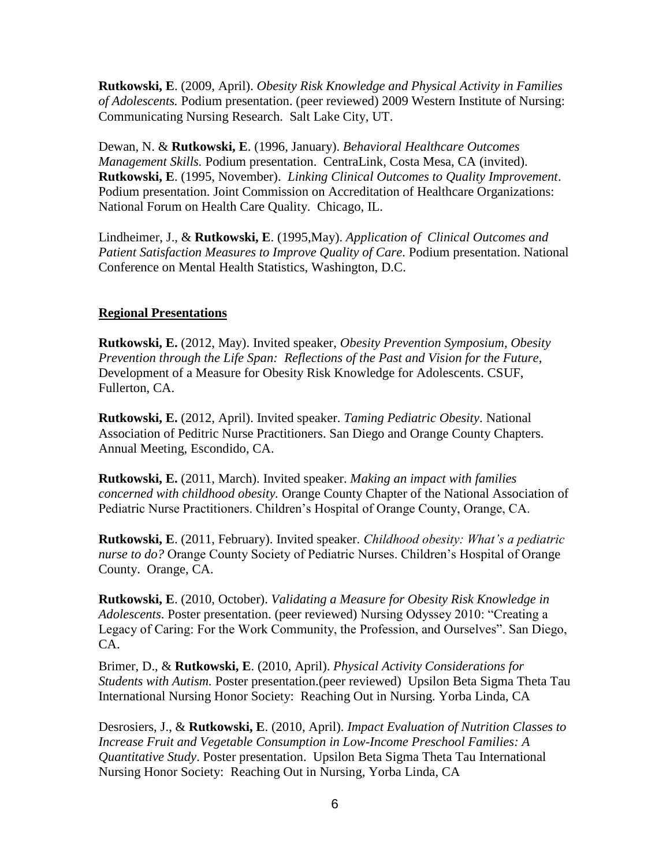**Rutkowski, E**. (2009, April). *Obesity Risk Knowledge and Physical Activity in Families of Adolescents.* Podium presentation. (peer reviewed) 2009 Western Institute of Nursing: Communicating Nursing Research. Salt Lake City, UT.

Dewan, N. & **Rutkowski, E**. (1996, January). *Behavioral Healthcare Outcomes Management Skills.* Podium presentation.CentraLink, Costa Mesa, CA (invited). **Rutkowski, E**. (1995, November). *Linking Clinical Outcomes to Quality Improvement*. Podium presentation. Joint Commission on Accreditation of Healthcare Organizations: National Forum on Health Care Quality. Chicago, IL.

Lindheimer, J., & **Rutkowski, E**. (1995,May). *Application of Clinical Outcomes and Patient Satisfaction Measures to Improve Quality of Care*. Podium presentation. National Conference on Mental Health Statistics, Washington, D.C.

## **Regional Presentations**

**Rutkowski, E.** (2012, May). Invited speaker, *Obesity Prevention Symposium, Obesity Prevention through the Life Span: Reflections of the Past and Vision for the Future*, Development of a Measure for Obesity Risk Knowledge for Adolescents. CSUF, Fullerton, CA.

**Rutkowski, E.** (2012, April). Invited speaker. *Taming Pediatric Obesity*. National Association of Peditric Nurse Practitioners. San Diego and Orange County Chapters. Annual Meeting, Escondido, CA.

**Rutkowski, E.** (2011, March). Invited speaker. *Making an impact with families concerned with childhood obesity.* Orange County Chapter of the National Association of Pediatric Nurse Practitioners. Children's Hospital of Orange County, Orange, CA.

**Rutkowski, E**. (2011, February). Invited speaker. *Childhood obesity: What's a pediatric nurse to do?* Orange County Society of Pediatric Nurses. Children's Hospital of Orange County. Orange, CA.

**Rutkowski, E**. (2010, October). *Validating a Measure for Obesity Risk Knowledge in Adolescents*. Poster presentation. (peer reviewed) Nursing Odyssey 2010: "Creating a Legacy of Caring: For the Work Community, the Profession, and Ourselves". San Diego, CA.

Brimer, D., & **Rutkowski, E**. (2010, April). *Physical Activity Considerations for Students with Autism.* Poster presentation.(peer reviewed) Upsilon Beta Sigma Theta Tau International Nursing Honor Society: Reaching Out in Nursing. Yorba Linda, CA

Desrosiers, J., & **Rutkowski, E**. (2010, April). *Impact Evaluation of Nutrition Classes to Increase Fruit and Vegetable Consumption in Low-Income Preschool Families: A Quantitative Study*. Poster presentation. Upsilon Beta Sigma Theta Tau International Nursing Honor Society: Reaching Out in Nursing, Yorba Linda, CA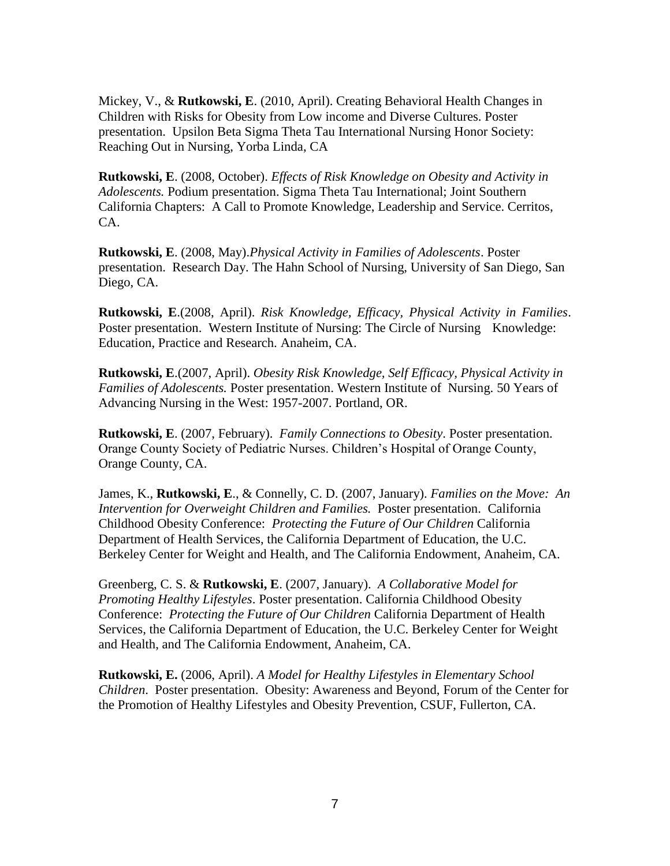Mickey, V., & **Rutkowski, E**. (2010, April). Creating Behavioral Health Changes in Children with Risks for Obesity from Low income and Diverse Cultures. Poster presentation. Upsilon Beta Sigma Theta Tau International Nursing Honor Society: Reaching Out in Nursing, Yorba Linda, CA

**Rutkowski, E**. (2008, October). *Effects of Risk Knowledge on Obesity and Activity in Adolescents.* Podium presentation. Sigma Theta Tau International; Joint Southern California Chapters: A Call to Promote Knowledge, Leadership and Service. Cerritos, CA.

**Rutkowski, E**. (2008, May).*Physical Activity in Families of Adolescents*. Poster presentation. Research Day. The Hahn School of Nursing, University of San Diego, San Diego, CA.

**Rutkowski, E**.(2008, April). *Risk Knowledge, Efficacy, Physical Activity in Families*. Poster presentation. Western Institute of Nursing: The Circle of Nursing Knowledge: Education, Practice and Research. Anaheim, CA.

**Rutkowski, E**.(2007, April). *Obesity Risk Knowledge, Self Efficacy, Physical Activity in Families of Adolescents.* Poster presentation. Western Institute of Nursing. 50 Years of Advancing Nursing in the West: 1957-2007. Portland, OR.

**Rutkowski, E**. (2007, February). *Family Connections to Obesity*. Poster presentation. Orange County Society of Pediatric Nurses. Children's Hospital of Orange County, Orange County, CA.

James, K., **Rutkowski, E**., & Connelly, C. D. (2007, January). *Families on the Move: An Intervention for Overweight Children and Families.* Poster presentation. California Childhood Obesity Conference: *Protecting the Future of Our Children* California Department of Health Services, the California Department of Education, the U.C. Berkeley Center for Weight and Health, and The California Endowment, Anaheim, CA.

Greenberg, C. S. & **Rutkowski, E**. (2007, January). *A Collaborative Model for Promoting Healthy Lifestyles*. Poster presentation. California Childhood Obesity Conference: *Protecting the Future of Our Children* California Department of Health Services, the California Department of Education, the U.C. Berkeley Center for Weight and Health, and The California Endowment, Anaheim, CA.

**Rutkowski, E.** (2006, April). *A Model for Healthy Lifestyles in Elementary School Children*. Poster presentation. Obesity: Awareness and Beyond, Forum of the Center for the Promotion of Healthy Lifestyles and Obesity Prevention, CSUF, Fullerton, CA.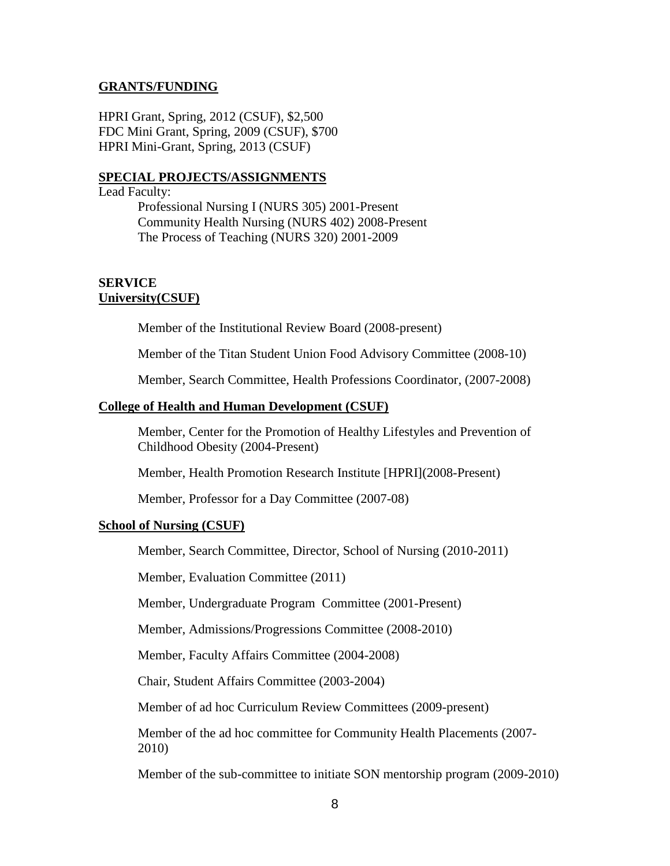#### **GRANTS/FUNDING**

HPRI Grant, Spring, 2012 (CSUF), \$2,500 FDC Mini Grant, Spring, 2009 (CSUF), \$700 HPRI Mini-Grant, Spring, 2013 (CSUF)

#### **SPECIAL PROJECTS/ASSIGNMENTS**

#### Lead Faculty:

Professional Nursing I (NURS 305) 2001-Present Community Health Nursing (NURS 402) 2008-Present The Process of Teaching (NURS 320) 2001-2009

### **SERVICE University(CSUF)**

Member of the Institutional Review Board (2008-present)

Member of the Titan Student Union Food Advisory Committee (2008-10)

Member, Search Committee, Health Professions Coordinator, (2007-2008)

#### **College of Health and Human Development (CSUF)**

Member, Center for the Promotion of Healthy Lifestyles and Prevention of Childhood Obesity (2004-Present)

Member, Health Promotion Research Institute [HPRI](2008-Present)

Member, Professor for a Day Committee (2007-08)

### **School of Nursing (CSUF)**

Member, Search Committee, Director, School of Nursing (2010-2011)

Member, Evaluation Committee (2011)

Member, Undergraduate Program Committee (2001-Present)

Member, Admissions/Progressions Committee (2008-2010)

Member, Faculty Affairs Committee (2004-2008)

Chair, Student Affairs Committee (2003-2004)

Member of ad hoc Curriculum Review Committees (2009-present)

Member of the ad hoc committee for Community Health Placements (2007- 2010)

Member of the sub-committee to initiate SON mentorship program (2009-2010)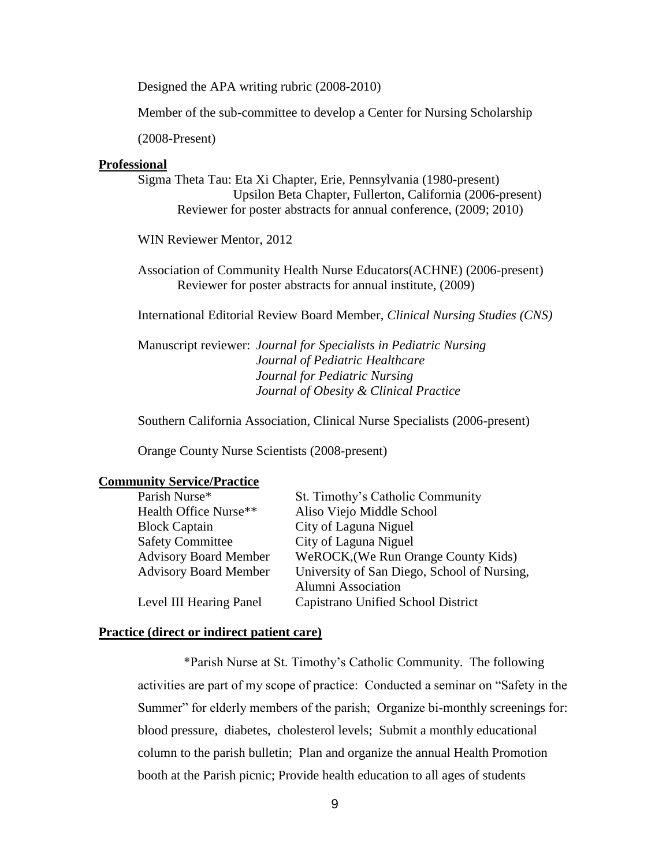Designed the APA writing rubric (2008-2010)

Member of the sub-committee to develop a Center for Nursing Scholarship

(2008-Present)

#### **Professional**

Sigma Theta Tau: Eta Xi Chapter, Erie, Pennsylvania (1980-present) Upsilon Beta Chapter, Fullerton, California (2006-present) Reviewer for poster abstracts for annual conference, (2009; 2010)

WIN Reviewer Mentor, 2012

Association of Community Health Nurse Educators(ACHNE) (2006-present) Reviewer for poster abstracts for annual institute, (2009)

International Editorial Review Board Member, *Clinical Nursing Studies (CNS)*

Manuscript reviewer: *Journal for Specialists in Pediatric Nursing Journal of Pediatric Healthcare Journal for Pediatric Nursing Journal of Obesity & Clinical Practice*

Southern California Association, Clinical Nurse Specialists (2006-present)

Orange County Nurse Scientists (2008-present)

### **Community Service/Practice**

| Parish Nurse*                | St. Timothy's Catholic Community            |
|------------------------------|---------------------------------------------|
| Health Office Nurse**        | Aliso Viejo Middle School                   |
| <b>Block Captain</b>         | City of Laguna Niguel                       |
| <b>Safety Committee</b>      | City of Laguna Niguel                       |
| <b>Advisory Board Member</b> | WeROCK, (We Run Orange County Kids)         |
| <b>Advisory Board Member</b> | University of San Diego, School of Nursing, |
|                              | <b>Alumni Association</b>                   |
| Level III Hearing Panel      | Capistrano Unified School District          |

#### **Practice (direct or indirect patient care)**

 \*Parish Nurse at St. Timothy's Catholic Community. The following activities are part of my scope of practice: Conducted a seminar on "Safety in the Summer" for elderly members of the parish; Organize bi-monthly screenings for: blood pressure, diabetes, cholesterol levels; Submit a monthly educational column to the parish bulletin; Plan and organize the annual Health Promotion booth at the Parish picnic; Provide health education to all ages of students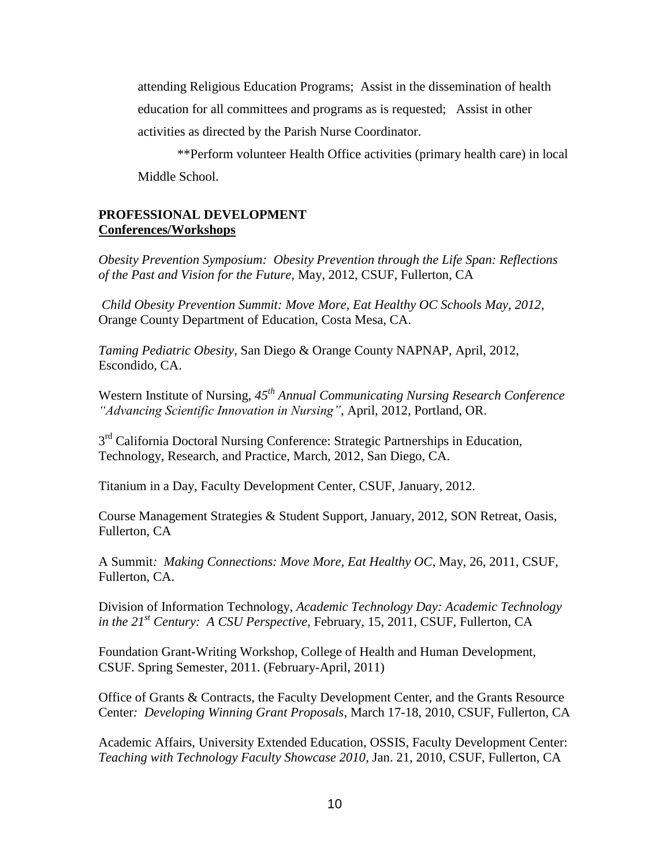attending Religious Education Programs; Assist in the dissemination of health education for all committees and programs as is requested; Assist in other activities as directed by the Parish Nurse Coordinator.

\*\*Perform volunteer Health Office activities (primary health care) in local Middle School.

### **PROFESSIONAL DEVELOPMENT Conferences/Workshops**

*Obesity Prevention Symposium: Obesity Prevention through the Life Span: Reflections of the Past and Vision for the Future,* May, 2012, CSUF, Fullerton, CA

*Child Obesity Prevention Summit: Move More, Eat Healthy OC Schools May, 2012,*  Orange County Department of Education, Costa Mesa, CA.

*Taming Pediatric Obesity*, San Diego & Orange County NAPNAP, April, 2012, Escondido, CA.

Western Institute of Nursing, *45th Annual Communicating Nursing Research Conference "Advancing Scientific Innovation in Nursing"*, April, 2012, Portland, OR.

3<sup>rd</sup> California Doctoral Nursing Conference: Strategic Partnerships in Education, Technology, Research, and Practice, March, 2012, San Diego, CA.

Titanium in a Day, Faculty Development Center, CSUF, January, 2012.

Course Management Strategies & Student Support, January, 2012, SON Retreat, Oasis, Fullerton, CA

A Summit*: Making Connections: Move More, Eat Healthy OC*, May, 26, 2011, CSUF, Fullerton, CA.

Division of Information Technology, *Academic Technology Day: Academic Technology in the 21st Century: A CSU Perspective,* February, 15, 2011, CSUF, Fullerton, CA

Foundation Grant-Writing Workshop, College of Health and Human Development, CSUF. Spring Semester, 2011. (February-April, 2011)

Office of Grants & Contracts, the Faculty Development Center, and the Grants Resource Center*: Developing Winning Grant Proposals*, March 17-18, 2010, CSUF, Fullerton, CA

Academic Affairs, University Extended Education, OSSIS, Faculty Development Center: *Teaching with Technology Faculty Showcase 2010*, Jan. 21, 2010, CSUF, Fullerton, CA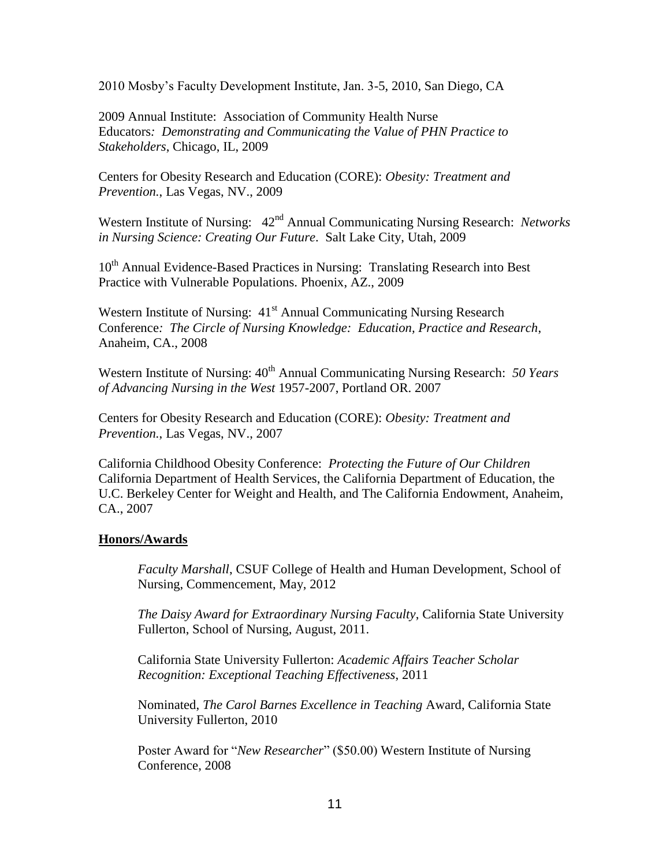2010 Mosby's Faculty Development Institute, Jan. 3-5, 2010, San Diego, CA

2009 Annual Institute: Association of Community Health Nurse Educators*: Demonstrating and Communicating the Value of PHN Practice to Stakeholders*, Chicago, IL, 2009

Centers for Obesity Research and Education (CORE): *Obesity: Treatment and Prevention.*, Las Vegas, NV., 2009

Western Institute of Nursing:  $42<sup>nd</sup>$  Annual Communicating Nursing Research: *Networks in Nursing Science: Creating Our Future*. Salt Lake City, Utah, 2009

10<sup>th</sup> Annual Evidence-Based Practices in Nursing: Translating Research into Best Practice with Vulnerable Populations. Phoenix, AZ., 2009

Western Institute of Nursing: 41<sup>st</sup> Annual Communicating Nursing Research Conference*: The Circle of Nursing Knowledge: Education, Practice and Research*, Anaheim, CA., 2008

Western Institute of Nursing:  $40^{th}$  Annual Communicating Nursing Research: 50 Years *of Advancing Nursing in the West* 1957-2007, Portland OR. 2007

Centers for Obesity Research and Education (CORE): *Obesity: Treatment and Prevention.*, Las Vegas, NV., 2007

California Childhood Obesity Conference: *Protecting the Future of Our Children* California Department of Health Services, the California Department of Education, the U.C. Berkeley Center for Weight and Health, and The California Endowment, Anaheim, CA., 2007

## **Honors/Awards**

*Faculty Marshall*, CSUF College of Health and Human Development, School of Nursing, Commencement, May, 2012

*The Daisy Award for Extraordinary Nursing Faculty*, California State University Fullerton, School of Nursing, August, 2011.

California State University Fullerton: *Academic Affairs Teacher Scholar Recognition: Exceptional Teaching Effectiveness*, 2011

Nominated, *The Carol Barnes Excellence in Teaching* Award, California State University Fullerton, 2010

Poster Award for "*New Researcher*" (\$50.00) Western Institute of Nursing Conference, 2008